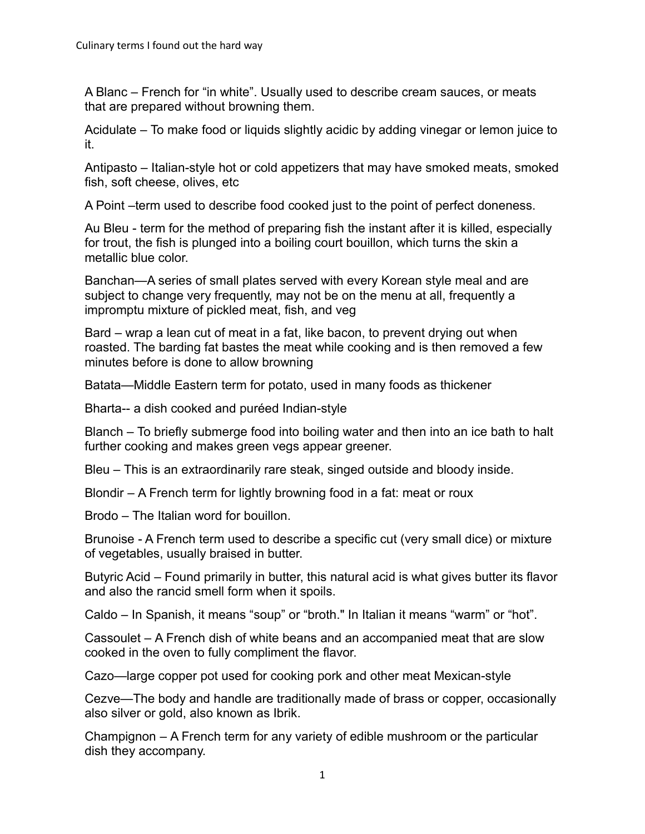A Blanc – French for "in white". Usually used to describe cream sauces, or meats that are prepared without browning them.

Acidulate – To make food or liquids slightly acidic by adding vinegar or lemon juice to it.

Antipasto – Italian-style hot or cold appetizers that may have smoked meats, smoked fish, soft cheese, olives, etc

A Point –term used to describe food cooked just to the point of perfect doneness.

Au Bleu - term for the method of preparing fish the instant after it is killed, especially for trout, the fish is plunged into a boiling court bouillon, which turns the skin a metallic blue color.

Banchan—A series of small plates served with every Korean style meal and are subject to change very frequently, may not be on the menu at all, frequently a impromptu mixture of pickled meat, fish, and veg

Bard – wrap a lean cut of meat in a fat, like bacon, to prevent drying out when roasted. The barding fat bastes the meat while cooking and is then removed a few minutes before is done to allow browning

Batata—Middle Eastern term for potato, used in many foods as thickener

Bharta-- a dish cooked and puréed Indian-style

Blanch – To briefly submerge food into boiling water and then into an ice bath to halt further cooking and makes green vegs appear greener.

Bleu – This is an extraordinarily rare steak, singed outside and bloody inside.

Blondir – A French term for lightly browning food in a fat: meat or roux

Brodo – The Italian word for bouillon.

Brunoise - A French term used to describe a specific cut (very small dice) or mixture of vegetables, usually braised in butter.

Butyric Acid – Found primarily in butter, this natural acid is what gives butter its flavor and also the rancid smell form when it spoils.

Caldo – In Spanish, it means "soup" or "broth." In Italian it means "warm" or "hot".

Cassoulet – A French dish of white beans and an accompanied meat that are slow cooked in the oven to fully compliment the flavor.

Cazo—large copper pot used for cooking pork and other meat Mexican-style

Cezve—The body and handle are traditionally made of brass or copper, occasionally also silver or gold, also known as Ibrik.

Champignon – A French term for any variety of edible mushroom or the particular dish they accompany.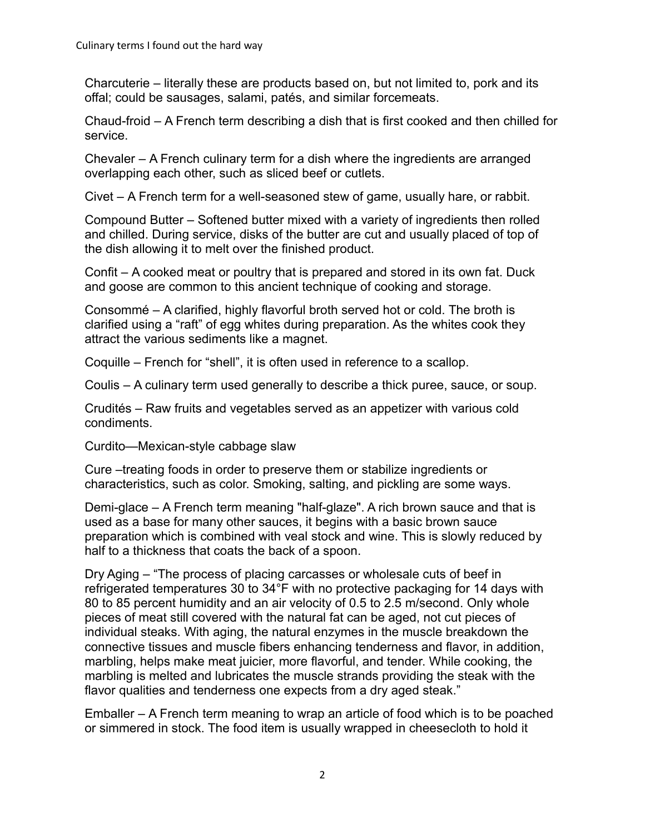Charcuterie – literally these are products based on, but not limited to, pork and its offal; could be sausages, salami, patés, and similar forcemeats.

Chaud-froid – A French term describing a dish that is first cooked and then chilled for service.

Chevaler – A French culinary term for a dish where the ingredients are arranged overlapping each other, such as sliced beef or cutlets.

Civet – A French term for a well-seasoned stew of game, usually hare, or rabbit.

Compound Butter – Softened butter mixed with a variety of ingredients then rolled and chilled. During service, disks of the butter are cut and usually placed of top of the dish allowing it to melt over the finished product.

Confit – A cooked meat or poultry that is prepared and stored in its own fat. Duck and goose are common to this ancient technique of cooking and storage.

Consommé – A clarified, highly flavorful broth served hot or cold. The broth is clarified using a "raft" of egg whites during preparation. As the whites cook they attract the various sediments like a magnet.

Coquille – French for "shell", it is often used in reference to a scallop.

Coulis – A culinary term used generally to describe a thick puree, sauce, or soup.

Crudités – Raw fruits and vegetables served as an appetizer with various cold condiments.

Curdito—Mexican-style cabbage slaw

Cure –treating foods in order to preserve them or stabilize ingredients or characteristics, such as color. Smoking, salting, and pickling are some ways.

Demi-glace – A French term meaning "half-glaze". A rich brown sauce and that is used as a base for many other sauces, it begins with a basic brown sauce preparation which is combined with veal stock and wine. This is slowly reduced by half to a thickness that coats the back of a spoon.

Dry Aging – "The process of placing carcasses or wholesale cuts of beef in refrigerated temperatures 30 to 34°F with no protective packaging for 14 days with 80 to 85 percent humidity and an air velocity of 0.5 to 2.5 m/second. Only whole pieces of meat still covered with the natural fat can be aged, not cut pieces of individual steaks. With aging, the natural enzymes in the muscle breakdown the connective tissues and muscle fibers enhancing tenderness and flavor, in addition, marbling, helps make meat juicier, more flavorful, and tender. While cooking, the marbling is melted and lubricates the muscle strands providing the steak with the flavor qualities and tenderness one expects from a dry aged steak."

Emballer – A French term meaning to wrap an article of food which is to be poached or simmered in stock. The food item is usually wrapped in cheesecloth to hold it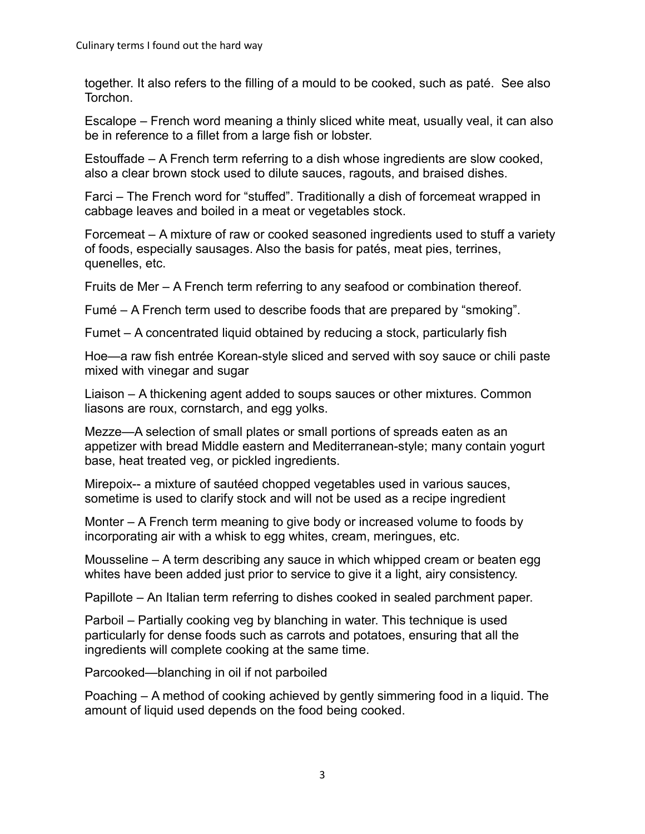together. It also refers to the filling of a mould to be cooked, such as paté. See also **Torchon** 

Escalope – French word meaning a thinly sliced white meat, usually veal, it can also be in reference to a fillet from a large fish or lobster.

Estouffade – A French term referring to a dish whose ingredients are slow cooked, also a clear brown stock used to dilute sauces, ragouts, and braised dishes.

Farci – The French word for "stuffed". Traditionally a dish of forcemeat wrapped in cabbage leaves and boiled in a meat or vegetables stock.

Forcemeat – A mixture of raw or cooked seasoned ingredients used to stuff a variety of foods, especially sausages. Also the basis for patés, meat pies, terrines, quenelles, etc.

Fruits de Mer – A French term referring to any seafood or combination thereof.

Fumé – A French term used to describe foods that are prepared by "smoking".

Fumet – A concentrated liquid obtained by reducing a stock, particularly fish

Hoe—a raw fish entrée Korean-style sliced and served with soy sauce or chili paste mixed with vinegar and sugar

Liaison – A thickening agent added to soups sauces or other mixtures. Common liasons are roux, cornstarch, and egg yolks.

Mezze—A selection of small plates or small portions of spreads eaten as an appetizer with bread Middle eastern and Mediterranean-style; many contain yogurt base, heat treated veg, or pickled ingredients.

Mirepoix-- a mixture of sautéed chopped vegetables used in various sauces, sometime is used to clarify stock and will not be used as a recipe ingredient

Monter – A French term meaning to give body or increased volume to foods by incorporating air with a whisk to egg whites, cream, meringues, etc.

Mousseline – A term describing any sauce in which whipped cream or beaten egg whites have been added just prior to service to give it a light, airy consistency.

Papillote – An Italian term referring to dishes cooked in sealed parchment paper.

Parboil – Partially cooking veg by blanching in water. This technique is used particularly for dense foods such as carrots and potatoes, ensuring that all the ingredients will complete cooking at the same time.

Parcooked—blanching in oil if not parboiled

Poaching – A method of cooking achieved by gently simmering food in a liquid. The amount of liquid used depends on the food being cooked.